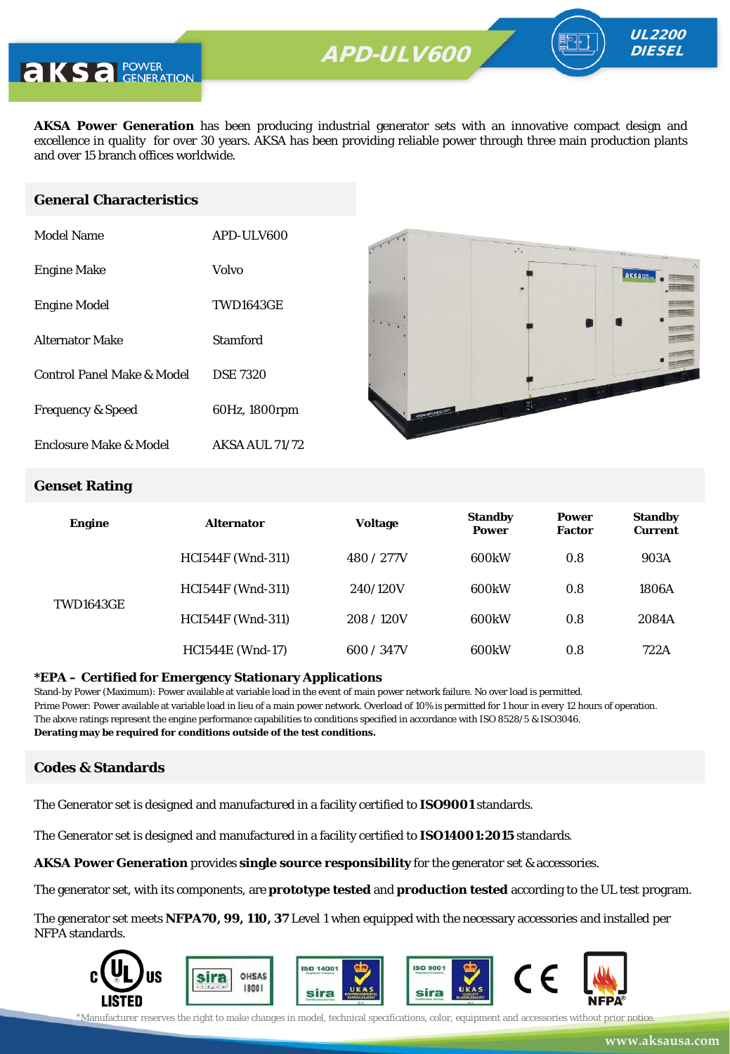

**AKSA Power Generation** has been producing industrial generator sets with an innovative compact design and excellence in quality for over 30 years. AKSA has been providing reliable power through three main production plants and over 15 branch offices worldwide.

#### **General Characteristics**

| Model Name                   | APD-ULV600       |
|------------------------------|------------------|
| <b>Engine Make</b>           | Volvo            |
| <b>Engine Model</b>          | <b>TWD1643GE</b> |
| <b>Alternator Make</b>       | Stamford         |
| Control Panel Make & Model   | <b>DSE 7320</b>  |
| <b>Frequency &amp; Speed</b> | 60Hz, 1800rpm    |
| Enclosure Make & Model       | AKSA AUL 71/72   |



UL2200 **DIESEL** 

#### **Genset Rating**

| <b>Engine</b>    | <b>Alternator</b>        | <b>Voltage</b> | <b>Standby</b><br><b>Power</b> | <b>Power</b><br><b>Factor</b> | <b>Standby</b><br><b>Current</b> |
|------------------|--------------------------|----------------|--------------------------------|-------------------------------|----------------------------------|
| <b>TWD1643GE</b> | <b>HCI544F</b> (Wnd-311) | 480 / 277V     | 600kW                          | 0.8                           | 903A                             |
|                  | <b>HCI544F</b> (Wnd-311) | 240/120V       | 600kW                          | 0.8                           | 1806A                            |
|                  | <b>HCI544F</b> (Wnd-311) | 208/120V       | 600kW                          | 0.8                           | 2084A                            |
|                  | <b>HCI544E</b> (Wnd-17)  | 600 / 347V     | 600kW                          | 0.8                           | 722A                             |

#### **\*EPA – Certified for Emergency Stationary Applications**

Stand-by Power (Maximum): Power available at variable load in the event of main power network failure. No over load is permitted. Prime Power: Power available at variable load in lieu of a main power network. Overload of 10% is permitted for 1 hour in every 12 hours of operation. The above ratings represent the engine performance capabilities to conditions specified in accordance with ISO 8528/5 & ISO3046. **Derating may be required for conditions outside of the test conditions.**

#### **Codes & Standards**

The Generator set is designed and manufactured in a facility certified to **ISO9001** standards.

The Generator set is designed and manufactured in a facility certified to **ISO14001:2015** standards.

**AKSA Power Generation** provides **single source responsibility** for the generator set & accessories.

The generator set, with its components, are **prototype tested** and **production tested** according to the UL test program.

The generator set meets **NFPA70, 99, 110, 37** Level 1 when equipped with the necessary accessories and installed per NFPA standards.



\*Manufacturer reserves the right to make changes in model, technical specifications, color, equipment and accessories without prior notice.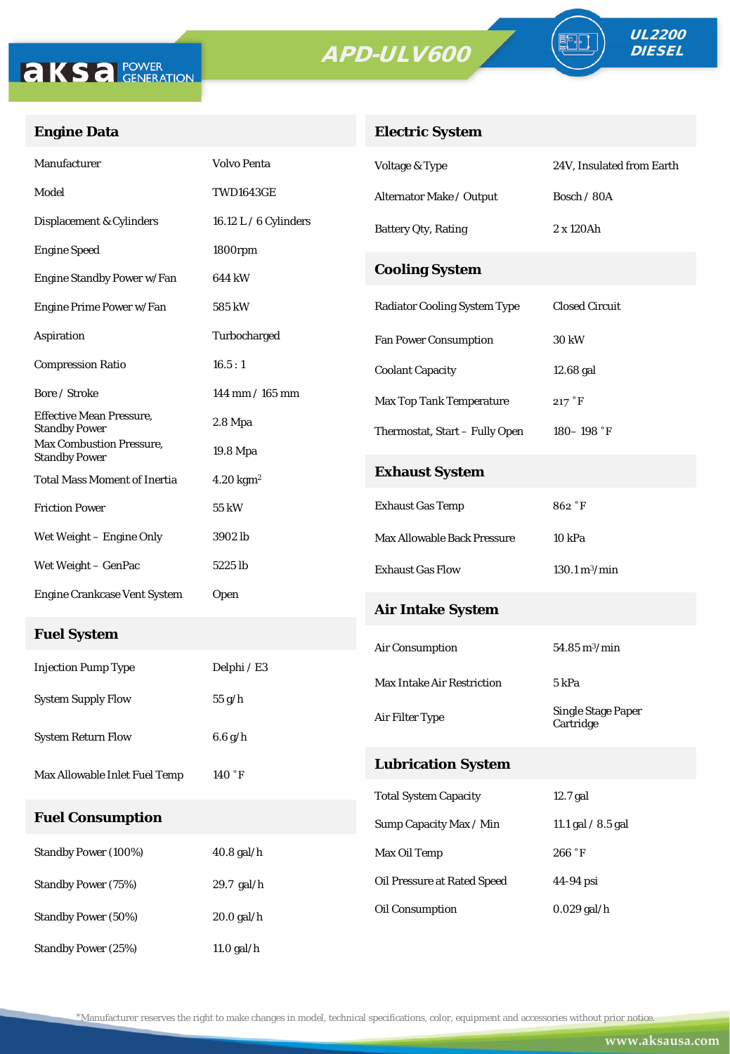

**Engine Data**



Oil Pressure at Rated Speed 44-94 psi

Oil Consumption 0.029 gal/h

| <b>Standby Power (100%)</b> | $40.8$ gal/h |
|-----------------------------|--------------|
| <b>Standby Power (75%)</b>  | $29.7$ gal/h |
| <b>Standby Power (50%)</b>  | $20.0$ gal/h |
| <b>Standby Power (25%)</b>  | $11.0$ gal/h |

**Fuel System**

**Fuel Consumption**

Effective Mean Pressure,

Max Combustion Pressure,

\*Manufacturer reserves the right to make changes in model, technical specifications, color, equipment and accessories without prior notice.

UL2200 **DIESEL**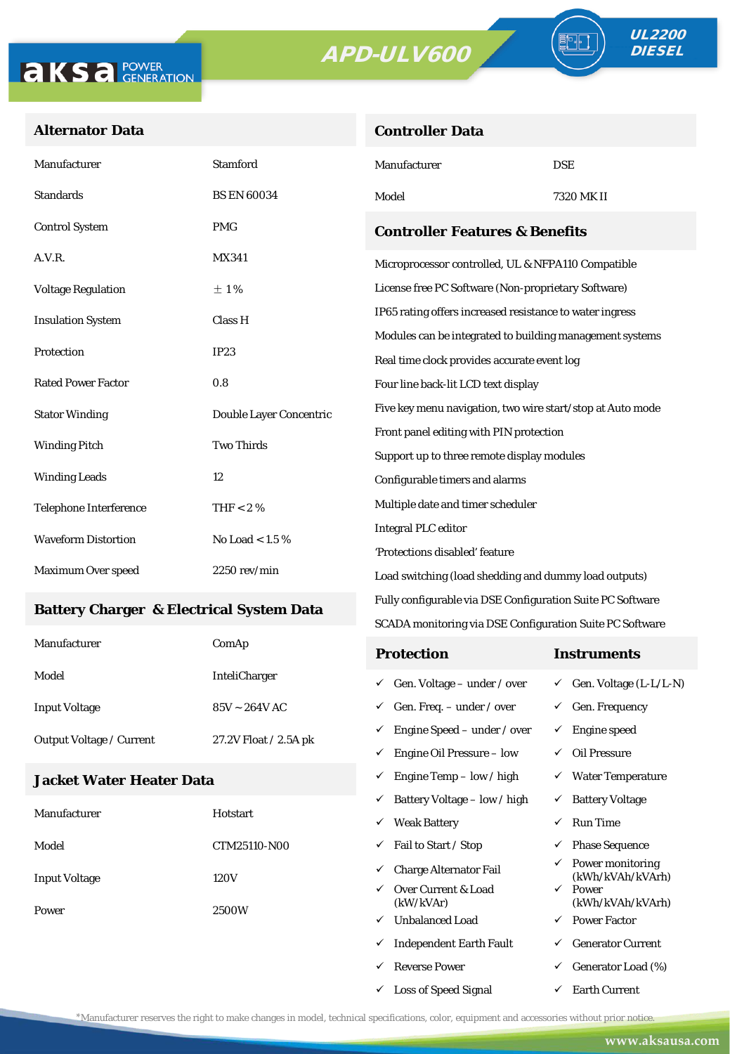**Controller Data**





#### **Alternator Data**

| Manufacturer                              | <b>Stamford</b>         | Manufacturer                                               | <b>DSE</b> |  |
|-------------------------------------------|-------------------------|------------------------------------------------------------|------------|--|
| <b>Standards</b>                          | <b>BS EN 60034</b>      | Model                                                      | 7320 MK II |  |
| <b>Control System</b>                     | <b>PMG</b>              | <b>Controller Features &amp; Benefits</b>                  |            |  |
| A.V.R.                                    | <b>MX341</b>            | Microprocessor controlled, UL & NFPA110 Compatible         |            |  |
| <b>Voltage Regulation</b>                 | $\pm 1\%$               | License free PC Software (Non-proprietary Software)        |            |  |
| <b>Insulation System</b>                  | Class H                 | IP65 rating offers increased resistance to water ingress   |            |  |
|                                           | IP23                    | Modules can be integrated to building management systems   |            |  |
| Protection                                |                         | Real time clock provides accurate event log                |            |  |
| <b>Rated Power Factor</b>                 | 0.8                     | Four line back-lit LCD text display                        |            |  |
| <b>Stator Winding</b>                     | Double Layer Concentric | Five key menu navigation, two wire start/stop at Auto mode |            |  |
| <b>Two Thirds</b><br><b>Winding Pitch</b> |                         | Front panel editing with PIN protection                    |            |  |
|                                           |                         | Support up to three remote display modules                 |            |  |
| <b>Winding Leads</b>                      | 12                      | Configurable timers and alarms                             |            |  |
| <b>Telephone Interference</b>             | THF < 2 $%$             | Multiple date and timer scheduler                          |            |  |
| <b>Waveform Distortion</b>                | No Load < $1.5\%$       | <b>Integral PLC editor</b>                                 |            |  |
|                                           |                         | 'Protections disabled' feature                             |            |  |
| Maximum Over speed                        | $2250$ rev/min          | Load switching (load shedding and dummy load outputs)      |            |  |

#### **Battery Charger & Electrical System Data**

| Manufacturer                    | ComAp                 | <b>Protection</b>                        | Instruments                         |
|---------------------------------|-----------------------|------------------------------------------|-------------------------------------|
| Model                           | <b>InteliCharger</b>  | $\checkmark$ Gen. Voltage – under / over | $\checkmark$ Gen. Voltage (L-L/L-N) |
| <b>Input Voltage</b>            | $85V \sim 264V$ AC    | $\checkmark$ Gen. Freq. – under / over   | $\checkmark$ Gen. Frequency         |
| <b>Output Voltage / Current</b> | 27.2V Float / 2.5A pk | $\checkmark$ Engine Speed – under / over | Engine speed                        |
|                                 |                       | Engine Oil Pressure – low<br>✓           | Oil Pressure                        |

Fully configurable via DSE Configuration Suite PC Software SCADA monitoring via DSE Configuration Suite PC Software

 $\checkmark$  Engine Temp – low / high  $\checkmark$  Water Temperature

 $\checkmark$  Loss of Speed Signal  $\checkmark$  Earth Current

#### **Jacket Water Heater Data**

|                      |                 | ✓ | Battery Voltage – low / high     | ✓            | <b>Battery Voltage</b>               |
|----------------------|-----------------|---|----------------------------------|--------------|--------------------------------------|
| Manufacturer         | <b>Hotstart</b> | ✓ | <b>Weak Battery</b>              | ✓            | Run Time                             |
| Model                | CTM25110-N00    | ✓ | Fail to Start / Stop             | ✓            | <b>Phase Sequence</b>                |
| <b>Input Voltage</b> | 120V            | ✓ | <b>Charge Alternator Fail</b>    | ✓            | Power monitoring<br>(kWh/kVAh/kVArh) |
|                      | ✓<br>2500W<br>✓ |   | Over Current & Load<br>(kW/kVAr) | $\checkmark$ | Power<br>(kWh/kVAh/kVArh)            |
| Power                |                 |   | <b>Unbalanced Load</b>           | $\checkmark$ | <b>Power Factor</b>                  |
|                      |                 | ✓ | <b>Independent Earth Fault</b>   | ✓            | <b>Generator Current</b>             |
|                      |                 | ✓ | <b>Reverse Power</b>             | ✓            | Generator Load (%)                   |

\*Manufacturer reserves the right to make changes in model, technical specifications, color, equipment and accessories without prior notice.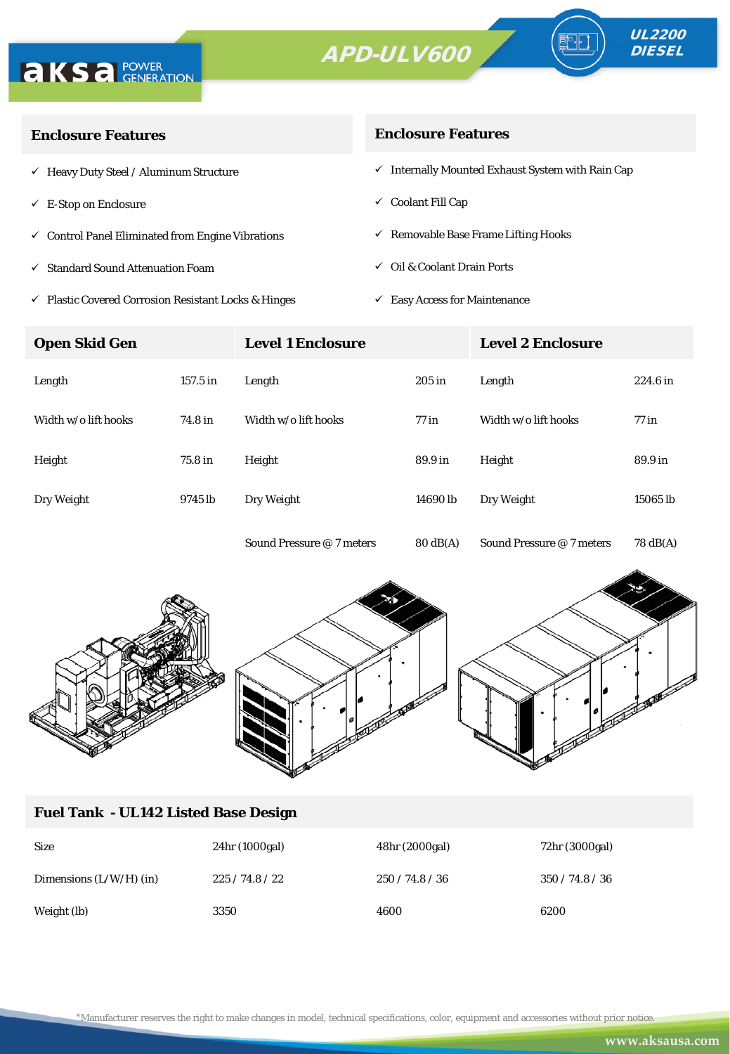



ª·⊫

| <b>Enclosure Features</b>                                    | <b>Enclosure Features</b>                                    |
|--------------------------------------------------------------|--------------------------------------------------------------|
| $\checkmark$ Heavy Duty Steel / Aluminum Structure           | $\checkmark$ Internally Mounted Exhaust System with Rain Cap |
| $\checkmark$ E-Stop on Enclosure                             | $\checkmark$ Coolant Fill Cap                                |
| $\checkmark$ Control Panel Eliminated from Engine Vibrations | $\checkmark$ Removable Base Frame Lifting Hooks              |
| ✓ Standard Sound Attenuation Foam                            | $\checkmark$ Oil & Coolant Drain Ports                       |
|                                                              |                                                              |

- $\checkmark$ Plastic Covered Corrosion Resistant Locks & Hinges
- $\checkmark$  Easy Access for Maintenance

| <b>Open Skid Gen</b> |          | <b>Level 1 Enclosure</b>  |                    | <b>Level 2 Enclosure</b>  |                    |
|----------------------|----------|---------------------------|--------------------|---------------------------|--------------------|
| Length               | 157.5 in | Length                    | $205$ in           | Length                    | 224.6 in           |
| Width w/o lift hooks | 74.8 in  | Width w/o lift hooks      | $77$ in            | Width w/o lift hooks      | $77$ in            |
| Height               | 75.8 in  | Height                    | 89.9 in            | Height                    | 89.9 in            |
| Dry Weight           | 9745 lb  | Dry Weight                | 14690 lb           | Dry Weight                | 15065 lb           |
|                      |          | Sound Pressure @ 7 meters | $80 \text{ dB(A)}$ | Sound Pressure @ 7 meters | $78 \text{ dB(A)}$ |



#### **Fuel Tank - UL142 Listed Base Design**

| <b>Size</b>               | 24hr (1000gal) | 48hr (2000gal) | 72hr (3000gal)  |
|---------------------------|----------------|----------------|-----------------|
| Dimensions $(L/W/H)$ (in) | 225/74.8/22    | 250/74.8/36    | 350 / 74.8 / 36 |
| Weight (lb)               | 3350           | 4600           | 6200            |